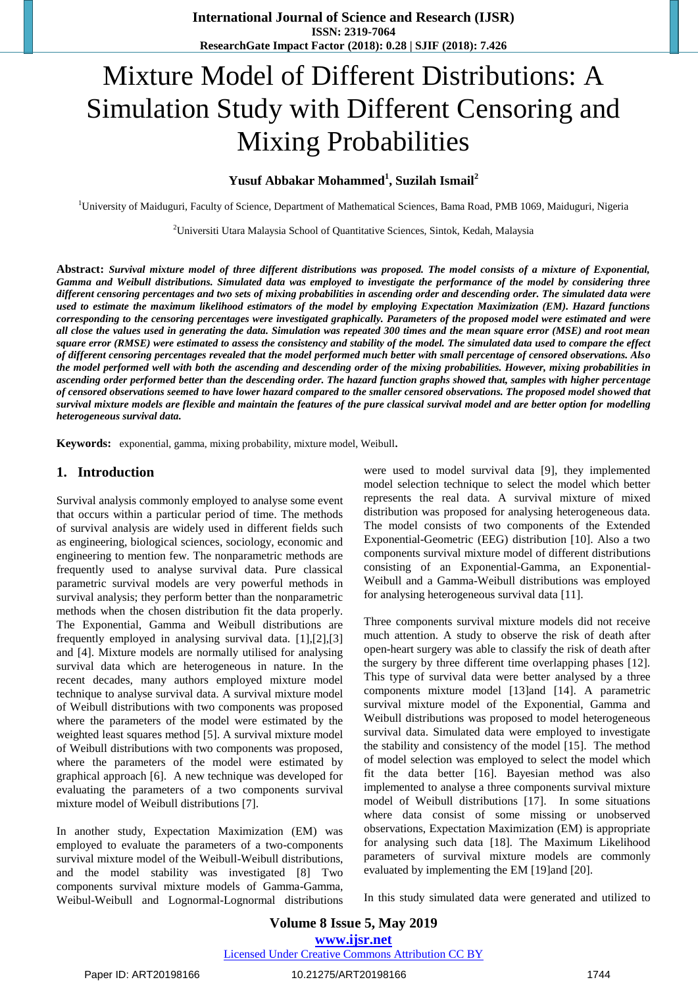# Mixture Model of Different Distributions: A Simulation Study with Different Censoring and Mixing Probabilities

# **Yusuf Abbakar Mohammed<sup>1</sup> , Suzilah Ismail<sup>2</sup>**

<sup>1</sup>University of Maiduguri, Faculty of Science, Department of Mathematical Sciences, Bama Road, PMB 1069, Maiduguri, Nigeria

<sup>2</sup>Universiti Utara Malaysia School of Quantitative Sciences, Sintok, Kedah, Malaysia

**Abstract:** *Survival mixture model of three different distributions was proposed. The model consists of a mixture of Exponential, Gamma and Weibull distributions. Simulated data was employed to investigate the performance of the model by considering three different censoring percentages and two sets of mixing probabilities in ascending order and descending order. The simulated data were used to estimate the maximum likelihood estimators of the model by employing Expectation Maximization (EM). Hazard functions corresponding to the censoring percentages were investigated graphically. Parameters of the proposed model were estimated and were all close the values used in generating the data. Simulation was repeated 300 times and the mean square error (MSE) and root mean square error (RMSE) were estimated to assess the consistency and stability of the model. The simulated data used to compare the effect of different censoring percentages revealed that the model performed much better with small percentage of censored observations. Also the model performed well with both the ascending and descending order of the mixing probabilities. However, mixing probabilities in ascending order performed better than the descending order. The hazard function graphs showed that, samples with higher percentage of censored observations seemed to have lower hazard compared to the smaller censored observations. The proposed model showed that survival mixture models are flexible and maintain the features of the pure classical survival model and are better option for modelling heterogeneous survival data.*

**Keywords:** exponential, gamma, mixing probability, mixture model, Weibull**.** 

#### **1. Introduction**

Survival analysis commonly employed to analyse some event that occurs within a particular period of time. The methods of survival analysis are widely used in different fields such as engineering, biological sciences, sociology, economic and engineering to mention few. The nonparametric methods are frequently used to analyse survival data. Pure classical parametric survival models are very powerful methods in survival analysis; they perform better than the nonparametric methods when the chosen distribution fit the data properly. The Exponential, Gamma and Weibull distributions are frequently employed in analysing survival data. [1],[2],[3] and [4]. Mixture models are normally utilised for analysing survival data which are heterogeneous in nature. In the recent decades, many authors employed mixture model technique to analyse survival data. A survival mixture model of Weibull distributions with two components was proposed where the parameters of the model were estimated by the weighted least squares method [5]. A survival mixture model of Weibull distributions with two components was proposed, where the parameters of the model were estimated by graphical approach [6]. A new technique was developed for evaluating the parameters of a two components survival mixture model of Weibull distributions [7].

In another study, Expectation Maximization (EM) was employed to evaluate the parameters of a two-components survival mixture model of the Weibull-Weibull distributions, and the model stability was investigated [8] Two components survival mixture models of Gamma-Gamma, Weibul-Weibull and Lognormal-Lognormal distributions were used to model survival data [9], they implemented model selection technique to select the model which better represents the real data. A survival mixture of mixed distribution was proposed for analysing heterogeneous data. The model consists of two components of the Extended Exponential-Geometric (EEG) distribution [10]. Also a two components survival mixture model of different distributions consisting of an Exponential-Gamma, an Exponential-Weibull and a Gamma-Weibull distributions was employed for analysing heterogeneous survival data [11].

Three components survival mixture models did not receive much attention. A study to observe the risk of death after open-heart surgery was able to classify the risk of death after the surgery by three different time overlapping phases [12]. This type of survival data were better analysed by a three components mixture model [13]and [14]. A parametric survival mixture model of the Exponential, Gamma and Weibull distributions was proposed to model heterogeneous survival data. Simulated data were employed to investigate the stability and consistency of the model [15]. The method of model selection was employed to select the model which fit the data better [16]. Bayesian method was also implemented to analyse a three components survival mixture model of Weibull distributions [17]. In some situations where data consist of some missing or unobserved observations, Expectation Maximization (EM) is appropriate for analysing such data [18]. The Maximum Likelihood parameters of survival mixture models are commonly evaluated by implementing the EM [19]and [20].

In this study simulated data were generated and utilized to

# **Volume 8 Issue 5, May 2019 www.ijsr.net** Licensed Under Creative Commons Attribution CC BY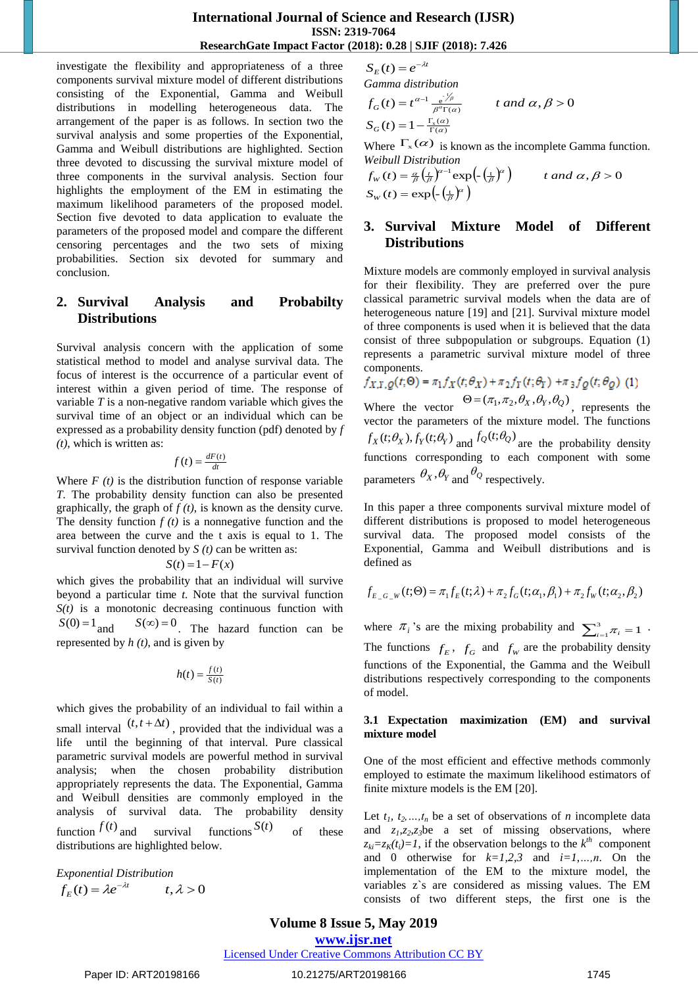# **International Journal of Science and Research (IJSR) ISSN: 2319-7064 ResearchGate Impact Factor (2018): 0.28 | SJIF (2018): 7.426**

investigate the flexibility and appropriateness of a three components survival mixture model of different distributions consisting of the Exponential, Gamma and Weibull distributions in modelling heterogeneous data. The arrangement of the paper is as follows. In section two the survival analysis and some properties of the Exponential, Gamma and Weibull distributions are highlighted. Section three devoted to discussing the survival mixture model of three components in the survival analysis. Section four highlights the employment of the EM in estimating the maximum likelihood parameters of the proposed model. Section five devoted to data application to evaluate the parameters of the proposed model and compare the different censoring percentages and the two sets of mixing probabilities. Section six devoted for summary and conclusion.

# **2. Survival Analysis and Probabilty Distributions**

Survival analysis concern with the application of some statistical method to model and analyse survival data. The focus of interest is the occurrence of a particular event of interest within a given period of time. The response of variable *T* is a non-negative random variable which gives the survival time of an object or an individual which can be expressed as a probability density function (pdf) denoted by *f (t)*, which is written as:

$$
f(t) = \frac{dF(t)}{dt}
$$

Where  $F(t)$  is the distribution function of response variable *T.* The probability density function can also be presented graphically, the graph of  $f(t)$ , is known as the density curve. The density function  $f(t)$  is a nonnegative function and the area between the curve and the t axis is equal to 1. The survival function denoted by *S (t)* can be written as:

$$
S(t) = 1 - F(x)
$$

which gives the probability that an individual will survive beyond a particular time *t*. Note that the survival function  $S(t)$  is a monotonic decreasing continuous function with  $S(0) = 1$  and  $S(\infty) = 0$ . The hazard function can be represented by *h (t)*, and is given by

$$
h(t) = \frac{f(t)}{S(t)}
$$

which gives the probability of an individual to fail within a small interval  $(t, t + \Delta t)$ , provided that the individual was a life until the beginning of that interval. Pure classical parametric survival models are powerful method in survival analysis; when the chosen probability distribution appropriately represents the data. The Exponential, Gamma and Weibull densities are commonly employed in the analysis of survival data. The probability density function  $f(t)$ survival functions  $S(t)$ of these distributions are highlighted below.

*Exponential Distribution*  $f_E(t) = \lambda e^{-\lambda t}$   $t, \lambda > 0$ 

$$
S_E(t) = e^{-\lambda t}
$$

*t*

Gamma distribution  
\n
$$
f_G(t) = t^{\alpha-1} \frac{e^{\frac{t}{\beta}}}{\beta^{\alpha} \Gamma(\alpha)}
$$
\n
$$
t \text{ and } \alpha, \beta > 0
$$
\n
$$
S_G(t) = 1 - \frac{\Gamma_x(\alpha)}{\Gamma(\alpha)}
$$

Where  $\Gamma_{\rm x}(\alpha)$  is known as the incomplete Gamma function. *Weibull Distribution*

$$
f_{W}(t) = \frac{\alpha}{\beta} \left(\frac{t}{\beta}\right)^{\alpha-1} \exp\left(-\left(\frac{t}{\beta}\right)^{\alpha}\right) \qquad t \text{ and } \alpha, \beta > 0
$$
  

$$
S_{W}(t) = \exp\left(-\left(\frac{t}{\beta}\right)^{\alpha}\right)
$$

# **3. Survival Mixture Model of Different Distributions**

Mixture models are commonly employed in survival analysis for their flexibility. They are preferred over the pure classical parametric survival models when the data are of heterogeneous nature [19] and [21]. Survival mixture model of three components is used when it is believed that the data consist of three subpopulation or subgroups. Equation (1) represents a parametric survival mixture model of three components.

$$
f_{X,Y,Q}(t;\Theta) = \pi_1 f_X(t;\theta_X) + \pi_2 f_Y(t;\theta_Y) + \pi_3 f_Q(t;\theta_Q)
$$
 (1)

Where the vector  $\Theta = (\pi_1, \pi_2, \theta_X, \theta_Y, \theta_Q)$ , represents the vector the parameters of the mixture model. The functions  $f_X(t; \theta_X)$ ,  $f_Y(t; \theta_Y)$  and  $f_Q(t; \theta_Q)$  are the probability density functions corresponding to each component with some parameters  $\theta_X$ ,  $\theta_Y$  and  $\theta_Q$  respectively.

In this paper a three components survival mixture model of different distributions is proposed to model heterogeneous survival data. The proposed model consists of the Exponential, Gamma and Weibull distributions and is defined as

$$
f_{E_G_w}(t; \Theta) = \pi_1 f_E(t; \lambda) + \pi_2 f_G(t; \alpha_1, \beta_1) + \pi_2 f_W(t; \alpha_2, \beta_2)
$$

where  $\pi_i$ 's are the mixing probability and  $\sum_{i=1}^3 \pi_i =$  $\frac{3}{i=1}$  $\pi_i = 1$  · The functions  $f_E$ ,  $f_G$  and  $f_W$  are the probability density functions of the Exponential, the Gamma and the Weibull distributions respectively corresponding to the components of model.

### **3.1 Expectation maximization (EM) and survival mixture model**

One of the most efficient and effective methods commonly employed to estimate the maximum likelihood estimators of finite mixture models is the EM [20].

Let  $t_1, t_2, \ldots, t_n$  be a set of observations of *n* incomplete data and  $z_1$ , $z_2$ , $z_3$ be a set of missing observations, where  $z_{ki} = z_K(t_i) = 1$ , if the observation belongs to the  $k^{th}$  component and 0 otherwise for *k=1,2,3* and *i=1,…,n*. On the implementation of the EM to the mixture model, the variables z`s are considered as missing values. The EM consists of two different steps, the first one is the

# **Volume 8 Issue 5, May 2019**

**www.ijsr.net**

Licensed Under Creative Commons Attribution CC BY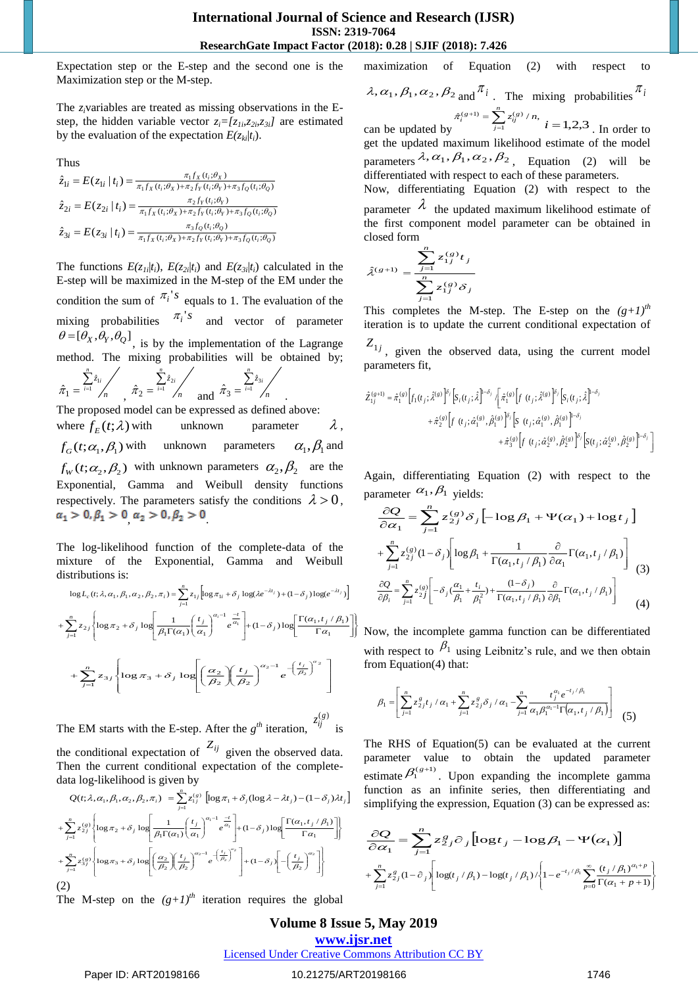Expectation step or the E-step and the second one is the Maximization step or the M-step.

The *zi*variables are treated as missing observations in the Estep, the hidden variable vector  $z_i = [z_{1i}, z_{2i}, z_{3i}]$  are estimated by the evaluation of the expectation  $E(z_{ki}|t_i)$ .

Thus

$$
\hat{z}_{1i} = E(z_{1i} | t_i) = \frac{\pi_1 f_X(t_i; \theta_X)}{\pi_1 f_X(t_i; \theta_X) + \pi_2 f_Y(t_i; \theta_Y) + \pi_3 f_Q(t_i; \theta_Q)}
$$
\n
$$
\hat{z}_{2i} = E(z_{2i} | t_i) = \frac{\pi_2 f_Y(t_i; \theta_Y)}{\pi_1 f_X(t_i; \theta_X) + \pi_2 f_Y(t_i; \theta_Y) + \pi_3 f_Q(t_i; \theta_Q)}
$$
\n
$$
\hat{z}_{3i} = E(z_{3i} | t_i) = \frac{\pi_3 f_Q(t_i; \theta_Q)}{\pi_1 f_X(t_i; \theta_X) + \pi_2 f_Y(t_i; \theta_Y) + \pi_3 f_Q(t_i; \theta_Q)}
$$

The functions  $E(z_{1i}|t_i)$ ,  $E(z_{2i}|t_i)$  and  $E(z_{3i}|t_i)$  calculated in the E-step will be maximized in the M-step of the EM under the condition the sum of  $\pi_i$ 's equals to 1. The evaluation of the mixing probabilities  $\pi_i$ 's and vector of parameter  $\theta = [\theta_X, \theta_Y, \theta_Q]$ , is by the implementation of the Lagrange method. The mixing probabilities will be obtained by; *n*  $\sum_{i=1}^{n} z_i$  $\sum_{i=1} \hat{z}_{1i}$  $= \sum_{i=1}^{n} \hat{z}_1$  $\hat{\pi}_1 = \frac{\hat{i} - 1}{n}$ ,  $\hat{\pi}_2 = \frac{\hat{i} - 1}{n}$ ,  $\sum_{i=1}^{n} z_i$  $\sum_{i=1} \hat{z}_{2i}$  $\sum_{i=1}^{n} \hat{z}_2$  $\hat{\pi}_2 = \frac{\overline{A}}{A}$   $\hat{\pi}_3 = \frac{\overline{A}}{A}$   $\hat{\pi}_4$  $\sum_{i=1}^{n} z_i$  $\sum_{i=1} \hat{z}_{3i}$  $\hat{\pi}_3 = \frac{\sum \hat{z}_3}{\sum \hat{z}_3}$ .

The proposed model can be expressed as defined above: where  $f_E(t; \lambda)$ unknown parameter  $\lambda$ ,  $f_G(t; \alpha_1, \beta_1)$  with unknown parameters  $\alpha_{\text{\tiny{l}}}^{},\beta_{\text{\tiny{l}}}^{}$  and  $f_{w}(t; \alpha_2, \beta_2)$  with unknown parameters  $\alpha_2, \beta_2$  are the Exponential, Gamma and Weibull density functions respectively. The parameters satisfy the conditions  $\lambda > 0$ ,  $\alpha_1 > 0, \beta_1 > 0 \alpha_2 > 0, \beta_2 > 0$ 

The log-likelihood function of the complete-data of the mixture of the Exponential, Gamma and Weibull distributions is:

$$
\log L_c(t; \lambda, \alpha_1, \beta_1, \alpha_2, \beta_2, \pi_i) = \sum_{j=1}^n z_{1j} \left[ \log \pi_{1i} + \delta_j \log(\lambda e^{-\lambda t_j}) + (1 - \delta_j) \log(e^{-\lambda t_j}) \right]
$$
  
+ 
$$
\sum_{j=1}^n z_{2j} \left\{ \log \pi_2 + \delta_j \log \left[ \frac{1}{\beta_1 \Gamma(\alpha_1)} \left( \frac{t_j}{\alpha_1} \right)^{\alpha_i - 1} e^{\frac{-t}{\alpha_1}} \right] + (1 - \delta_j) \log \left[ \frac{\Gamma(\alpha_1, t_j / \beta_1)}{\Gamma \alpha_1} \right] \right\}
$$
  
+ 
$$
\sum_{j=1}^n z_{3j} \left\{ \log \pi_3 + \delta_j \log \left[ \left( \frac{\alpha_2}{\beta_2} \right) \left( \frac{t_j}{\beta_2} \right)^{\alpha_2 - 1} e^{-\left( \frac{t_j}{\beta_2} \right)^{\alpha_2}} \right] \right\}
$$

The EM starts with the E-step. After the  $g^{th}$  iteration,  $z_{ij}^{(g)}$  is the conditional expectation of  $Z_{ij}$  given the observed data. Then the current conditional expectation of the completedata log-likelihood is given by

$$
Q(t; \lambda, \alpha_1, \beta_1, \alpha_2, \beta_2, \pi_i) = \sum_{j=1}^n z_{1j}^{(s)} \left[ \log \pi_1 + \delta_j (\log \lambda - \lambda t_j) - (1 - \delta_j) \lambda t_j \right]
$$
  
+ 
$$
\sum_{j=1}^n z_{2j}^{(s)} \left\{ \log \pi_2 + \delta_j \log \left[ \frac{1}{\beta_1 \Gamma(\alpha_1)} \left( \frac{t_j}{\alpha_1} \right)^{\alpha_1 - 1} e^{\frac{-t}{\alpha_1}} \right] + (1 - \delta_j) \log \left[ \frac{\Gamma(\alpha_1, t_j / \beta_1)}{\Gamma \alpha_1} \right] \right\}
$$
  
+ 
$$
\sum_{j=1}^n z_{3j}^{(s)} \left\{ \log \pi_3 + \delta_j \log \left[ \left( \frac{\alpha_2}{\beta_2} \right) \left( \frac{t_j}{\beta_2} \right)^{\alpha_2 - 1} e^{-\left( \frac{t_j}{\beta_2} \right)^{\alpha_2}} \right] + (1 - \delta_j) \left[ - \left( \frac{t_j}{\beta_2} \right)^{\alpha_2} \right] \right\}
$$
  
(2)

The M-step on the  $(g+1)^{th}$  iteration requires the global

maximization of Equation (2) with respect to

$$
\lambda, \alpha_1, \beta_1, \alpha_2, \beta_2
$$
 and  $\frac{\pi_i}{\sqrt{n}}$ . The mixing probabilities  $\frac{\pi_i}{\sqrt{n}}$ .

can be updated by  $\hat{\pi}_i^{(g+1)} = \sum_{j=1}^n$  $\hat{\pi}_i^{(g+1)} = \sum_{j=1}^{g(y)}/n$ ,  $i = 1,2,3$ . In order to get the updated maximum likelihood estimate of the model parameters  $\lambda$ ,  $\alpha_1$ ,  $\beta_1$ ,  $\alpha_2$ ,  $\beta_2$ , Equation (2) will be differentiated with respect to each of these parameters.

Now, differentiating Equation (2) with respect to the parameter  $\lambda$  the updated maximum likelihood estimate of the first component model parameter can be obtained in closed form

$$
\hat{\lambda}^{(g+1)} = \frac{\sum_{j=1}^{n} z_{1j}^{(g)} t_j}{\sum_{j=1}^{n} z_{1j}^{(g)} \delta_j}
$$

This completes the M-step. The E-step on the  $(g+1)^{th}$ iteration is to update the current conditional expectation of

 $Z_{1j}$ , given the observed data, using the current model parameters fit,

$$
\begin{split} \hat{Z}^{(g+1)}_{1j} = \hat{\pi}_1^{(g)} \bigg[ f_1(t_j;\hat{\lambda}^{(g)})^{\delta_j} \bigg[ S_i(t_j;\hat{\lambda}\big]^{1-\delta_j} \, \bigg\{ \hat{\pi}_1^{(g)} \bigg[ f\ (t_j;\hat{\lambda}^{(g)})^{\delta_j} \bigg[ S_i(t_j;\hat{\lambda}\big]^{1-\delta_j} \\ & \qquad \qquad + \hat{\pi}_2^{(g)} \bigg[ f\ (t_j;\hat{\alpha}_1^{(g)},\hat{\beta}_1^{(g)})^{\delta_j} \bigg[ S\ (t_j;\hat{\alpha}_1^{(g)},\hat{\beta}_1^{(g)})^{\delta_j} \bigg]^{1-\delta_j} \\ & \qquad \qquad + \hat{\pi}_3^{(g)} \bigg[ f\ (t_j;\hat{\alpha}_2^{(g)},\hat{\beta}_2^{(g)})^{\delta_j} \bigg]^S \big[ S(t_j;\hat{\alpha}_2^{(g)},\hat{\beta}_2^{(g)})^{\delta_j} \bigg]^{1-\delta_j} \bigg] \end{split}
$$

Again, differentiating Equation (2) with respect to the parameter  $\alpha_1, \beta_1$  yields:

$$
\frac{\partial Q}{\partial \alpha_1} = \sum_{j=1}^n z_{2j}^{(g)} \delta_j \left[ -\log \beta_1 + \Psi(\alpha_1) + \log t_j \right]
$$
  
+
$$
\sum_{j=1}^n z_{2j}^{(g)} (1 - \delta_j) \left[ \log \beta_1 + \frac{1}{\Gamma(\alpha_1, t_j/\beta_1)} \frac{\partial}{\partial \alpha_1} \Gamma(\alpha_1, t_j/\beta_1) \right]
$$
  

$$
\frac{\partial Q}{\partial \beta_i} = \sum_{j=1}^n z_{2j}^{(g)} \left[ -\delta_j \frac{\alpha_1}{\beta_1} + \frac{t_j}{\beta_1^2} + \frac{(1 - \delta_j)}{\Gamma(\alpha_1, t_j/\beta_1)} \frac{\partial}{\partial \beta_1} \Gamma(\alpha_1, t_j/\beta_1) \right]
$$
(4)

Now, the incomplete gamma function can be differentiated with respect to  $\beta_1$  using Leibnitz's rule, and we then obtain from Equation(4) that:

$$
\beta_1 = \left[ \sum_{j=1}^n z_{2j}^g t_j / \alpha_1 + \sum_{j=1}^n z_{2j}^g \delta_j / \alpha_1 - \sum_{j=1}^n \frac{t_j^{\alpha_1} e^{-t_j/\beta_1}}{\alpha_1 \beta_1^{\alpha_1 - 1} \Gamma(\alpha_1, t_j / \beta_1)} \right] \tag{5}
$$

The RHS of Equation(5) can be evaluated at the current parameter value to obtain the updated parameter estimate  $\beta_1^{(g+1)}$ . Upon expanding the incomplete gamma function as an infinite series, then differentiating and simplifying the expression, Equation (3) can be expressed as:

$$
\frac{\partial Q}{\partial \alpha_1} = \sum_{j=1}^n z_j^g \partial_j [\log t_j - \log \beta_1 - \Psi(\alpha_1)]
$$
  
+ 
$$
\sum_{j=1}^n z_j^g (1-\partial_j) [\log(t_j/\beta_1) - \log(t_j/\beta_1)] \Biggl\{ 1 - e^{-t_j/\beta_1} \sum_{p=0}^\infty \frac{(t_j/\beta_1)^{\alpha_1+p}}{\Gamma(\alpha_1+p+1)} \Biggr\}
$$

# **Volume 8 Issue 5, May 2019 www.ijsr.net** Licensed Under Creative Commons Attribution CC BY

Paper ID: ART20198166 1746 10.21275/ART20198166 1746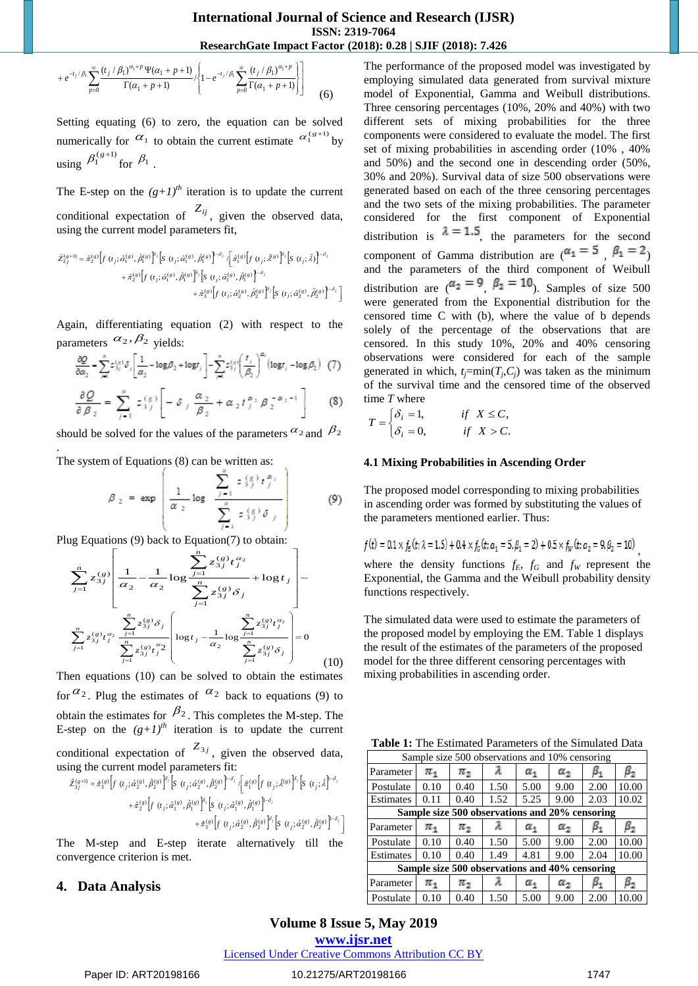$$
+e^{-t_j/\beta_1}\sum_{p=0}^{\infty}\frac{(t_j/\beta_1)^{\alpha_1+p}\Psi(\alpha_1+p+1)}{\Gamma(\alpha_1+p+1)}\Bigg\{\Bigg\{1-e^{-t_j/\beta_1}\sum_{p=0}^{\infty}\frac{(t_j/\beta_1)^{\alpha_1+p}}{\Gamma(\alpha_1+p+1)}\Bigg\}\Bigg\}\qquad \qquad (6)
$$

Setting equating (6) to zero, the equation can be solved numerically for  $\alpha_1$  to obtain the current estimate  $\alpha_1^{(g+1)}$  by using  $\beta_1^{(g+1)}$  for  $\beta_1$ .

The E-step on the  $(g+1)^{th}$  iteration is to update the current conditional expectation of  $Z_{ij}$ , given the observed data, using the current model parameters fit,

$$
\begin{split} \hat{Z}_{2j}^{(g+1)} = \hat{\pi}_{2}^{(g)} \Big[ f & (t_{j}; \hat{\alpha}_{1}^{(g)}, \hat{\beta}_{1}^{(g)}) \Big[ S & (t_{j}; \hat{\alpha}_{1}^{(g)}, \hat{\beta}_{1}^{(g)}) \Big]^{-\delta_{j}} \Big[ \hat{\pi}_{1}^{(g)} \Big[ f & (t_{j}; \hat{\lambda}^{(g)}) \Big]^{S_{j}} \Big[ S & (t_{j}; \hat{\lambda}) \Big]^{-\delta_{j}} \\ & + \hat{\pi}_{2}^{(g)} \Big[ f & (t_{j}; \hat{\alpha}_{1}^{(g)}, \hat{\beta}_{1}^{(g)}) \Big]^{S_{j}} \Big[ S & (t_{j}; \hat{\alpha}_{1}^{(g)}, \hat{\beta}_{1}^{(g)}) \Big]^{-\delta_{j}} \\ & + \hat{\pi}_{3}^{(g)} \Big[ f & (t_{j}; \hat{\alpha}_{2}^{(g)}, \hat{\beta}_{2}^{(g)}) \Big]^{S_{j}} \Big[ S & (t_{j}; \hat{\alpha}_{2}^{(g)}, \hat{\beta}_{2}^{(g)}) \Big]^{-\delta_{j}} \Big] \end{split}
$$

Again, differentiating equation (2) with respect to the parameters  $\alpha_2$ ,  $\beta_2$  yields:

$$
\frac{\partial Q}{\partial \alpha_2} = \sum_{j=1}^n z_{3j}^{(n)} \delta_j \left[ \frac{1}{\alpha_2} - \log \beta_2 + \log t_j \right] - \sum_{j=1}^n z_{3j}^{(n)} \left( \frac{t_j}{\beta_2} \right)^{\alpha_1} \left( \log t_j - \log \beta_2 \right) \tag{7}
$$

$$
\frac{\partial Q}{\partial \beta_2} = \sum_{j=1}^n z_{3j}^{(g)} \left[ -\delta_j \frac{\alpha_2}{\beta_2} + \alpha_2 t_j^{\alpha_2} \beta_2^{-\alpha_2 - 1} \right]
$$
 (8)

should be solved for the values of the parameters  $\alpha_2$  and  $\beta_2$ 

The system of Equations (8) can be written as:

.

$$
\beta_2 = \exp\left(\frac{1}{\alpha_2} \log \left[\frac{\sum_{j=1}^n \epsilon_{3j}^{(g)} t_j^{\alpha_1}}{\sum_{j=1}^n \epsilon_{3j}^{(g)} \delta_j}\right]\right)
$$
(9)

Plug Equations (9) back to Equation(7) to obtain:

$$
\sum_{j=1}^{n} z_{3j}^{(g)} \left[ \frac{1}{\alpha_2} - \frac{1}{\alpha_2} \log \frac{\sum_{j=1}^{n} z_{3j}^{(g)} t_j^{\alpha_2}}{\sum_{j=1}^{n} z_{3j}^{(g)} \delta_j} + \log t_j \right] -
$$
  

$$
\sum_{j=1}^{n} z_{3j}^{(g)} t_j^{\alpha_2} \frac{\sum_{j=1}^{n} z_{3j}^{(g)} \delta_j}{\sum_{j=1}^{n} z_{3j}^{(g)} t_j^{\alpha_2}} \left[ \log t_j - \frac{1}{\alpha_2} \log \frac{\sum_{j=1}^{n} z_{3j}^{(g)} t_j^{\alpha_2}}{\sum_{j=1}^{n} z_{3j}^{(g)} \delta_j} \right] = 0
$$
(10)

Then equations (10) can be solved to obtain the estimates for  $\alpha_2$ . Plug the estimates of  $\alpha_2$  back to equations (9) to obtain the estimates for  $\beta_2$ . This completes the M-step. The E-step on the  $(g+1)^{th}$  iteration is to update the current conditional expectation of  $Z_{3j}$ , given the observed data, using the current model parameters fit:

$$
\hat{z}_{3j}^{(g+1)} = \hat{\pi}_{3}^{(g)} \left[ f(t_j; \hat{\alpha}_2^{(g)}, \hat{\beta}_2^{(g)}) \right]^{\delta_j} \left[ S(t_j; \hat{\alpha}_2^{(g)}, \hat{\beta}_2^{(g)}) \right]^{-\delta_j} \left[ \hat{\pi}_{1}^{(g)} \left[ f(t_j; \hat{\lambda}^{(g)}) \right]^{\delta_j} \left[ S(t_j; \hat{\lambda}_1^{(g)}) \right]^{-\delta_j} \right] + \hat{\pi}_{2}^{(g)} \left[ f(t_j; \hat{\alpha}_1^{(g)}, \hat{\beta}_1^{(g)}) \right]^{\delta_j} \left[ S(t_j; \hat{\alpha}_1^{(g)}, \hat{\beta}_2^{(g)}) \right]^{-\delta_j} + \hat{\pi}_{3}^{(g)} \left[ f(t_j; \hat{\alpha}_2^{(g)}, \hat{\beta}_2^{(g)}) \right]^{\delta_j} \left[ S(t_j; \hat{\alpha}_2^{(g)}, \hat{\beta}_2^{(g)}) \right]^{-\delta_j} \right]
$$

The M-step and E-step iterate alternatively till the convergence criterion is met.

# **4. Data Analysis**

 $\frac{r_{\text{eff}}}{r_{\text{eff}}} \left[ \frac{r_{\text{eff}}}{r_{\text{eff}}} \right]$  (6) model of Exponential, the current extintation can be solved different sets of mixing probabilities and 50%) and the second procedure or considered Universed Universed Unive The performance of the proposed model was investigated by employing simulated data generated from survival mixture model of Exponential, Gamma and Weibull distributions. Three censoring percentages (10%, 20% and 40%) with two different sets of mixing probabilities for the three components were considered to evaluate the model. The first set of mixing probabilities in ascending order (10% , 40% and 50%) and the second one in descending order (50%, 30% and 20%). Survival data of size 500 observations were generated based on each of the three censoring percentages and the two sets of the mixing probabilities. The parameter considered for the first component of Exponential distribution is  $\lambda = 1.5$ , the parameters for the second component of Gamma distribution are  $(\alpha_1 = 5, \beta_1 = 2)$ and the parameters of the third component of Weibull distribution are  $(\alpha_2 = 9, \beta_2 = 10)$ . Samples of size 500 were generated from the Exponential distribution for the censored time C with (b), where the value of b depends solely of the percentage of the observations that are censored. In this study 10%, 20% and 40% censoring observations were considered for each of the sample generated in which,  $t_j = min(T_j, C_j)$  was taken as the minimum of the survival time and the censored time of the observed time *T* where

$$
T = \begin{cases} \delta_i = 1, & \text{if } X \le C, \\ \delta_i = 0, & \text{if } X > C. \end{cases}
$$

#### **4.1 Mixing Probabilities in Ascending Order**

The proposed model corresponding to mixing probabilities in ascending order was formed by substituting the values of the parameters mentioned earlier. Thus:

$$
f(t) = 0.1 \times f_E(t; \lambda = 1.5) + 0.4 \times f_G(t; \alpha_1 = 5, \beta_1 = 2) + 0.5 \times f_W(t; \alpha_2 = 9, \beta_2 = 10)
$$

where the density functions  $f_E$ ,  $f_G$  and  $f_W$  represent the Exponential, the Gamma and the Weibull probability density functions respectively.

The simulated data were used to estimate the parameters of the proposed model by employing the EM. Table 1 displays the result of the estimates of the parameters of the proposed model for the three different censoring percentages with mixing probabilities in ascending order.

**Table 1:** The Estimated Parameters of the Simulated Data

| Sample size 500 observations and 10% censoring |           |           |      |              |              |           |             |  |  |
|------------------------------------------------|-----------|-----------|------|--------------|--------------|-----------|-------------|--|--|
| Parameter                                      | $\pi_{1}$ | π,        |      | $\alpha_{1}$ | $\alpha_{2}$ | $\beta_1$ | $\beta_{2}$ |  |  |
| Postulate                                      | 0.10      | 0.40      | 1.50 | 5.00         | 9.00         | 2.00      | 10.00       |  |  |
| Estimates                                      | 0.11      | 0.40      | 1.52 | 5.25         | 9.00         | 2.03      | 10.02       |  |  |
| Sample size 500 observations and 20% censoring |           |           |      |              |              |           |             |  |  |
| Parameter                                      | $\pi_{1}$ | $\pi_{2}$ | λ    | $\alpha_1$   | $\alpha_{2}$ | $\beta_1$ | $\beta_{2}$ |  |  |
| Postulate                                      | 0.10      | 0.40      | 1.50 | 5.00         | 9.00         | 2.00      | 10.00       |  |  |
| Estimates                                      | 0.10      | 0.40      | 1.49 | 4.81         | 9.00         | 2.04      | 10.00       |  |  |
| Sample size 500 observations and 40% censoring |           |           |      |              |              |           |             |  |  |
| Parameter                                      | $\pi_{1}$ | $\pi_{2}$ |      | $\alpha_1$   | $a_{2}$      | $\beta_1$ | $\beta_{2}$ |  |  |
| Postulate                                      | 0.10      | 0.40      | 1.50 | 5.00         | 9.00         | 2.00      | 10.00       |  |  |

# **Volume 8 Issue 5, May 2019**

**www.ijsr.net**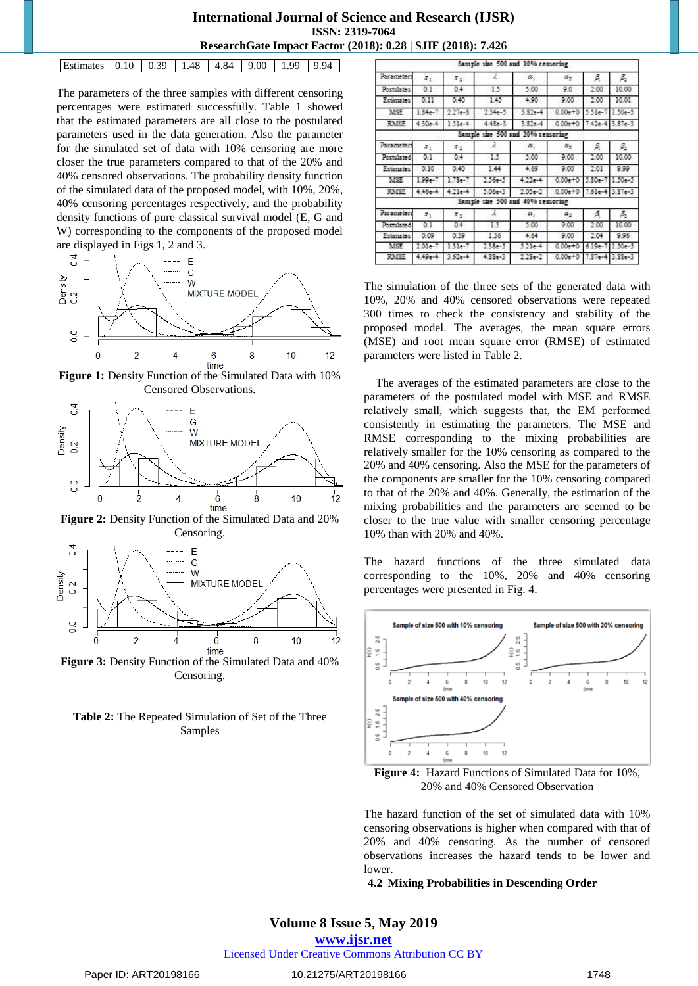## **International Journal of Science and Research (IJSR) ISSN: 2319-7064 ResearchGate Impact Factor (2018): 0.28 | SJIF (2018): 7.426**

| Estimates 0.10 0.39 1.48 4.84 9.00 1.99 9.94 |
|----------------------------------------------|
|----------------------------------------------|

The parameters of the three samples with different censoring percentages were estimated successfully. Table 1 showed that the estimated parameters are all close to the postulated parameters used in the data generation. Also the parameter for the simulated set of data with 10% censoring are more closer the true parameters compared to that of the 20% and 40% censored observations. The probability density function of the simulated data of the proposed model, with 10%, 20%, 40% censoring percentages respectively, and the probability density functions of pure classical survival model (E, G and W) corresponding to the components of the proposed model are displayed in Figs 1, 2 and 3.



**Figure 1:** Density Function of the Simulated Data with 10% Censored Observations.



**Figure 2:** Density Function of the Simulated Data and 20% Censoring.



**Figure 3:** Density Function of the Simulated Data and 40% Censoring.

**Table 2:** The Repeated Simulation of Set of the Three Samples

|              |             |                     | Sample size 500 and 10% censoring |            |              |                 |                 |
|--------------|-------------|---------------------|-----------------------------------|------------|--------------|-----------------|-----------------|
| Parameters   | $\pi_1$     | $\pi_{2}$           | 2                                 | α.         | $\alpha_{2}$ | 涡               | $\beta_2$       |
| Postalates   | 0.1         | 0.4                 | 15                                | 5.00       | 9.0          | 2.00            | 10.00           |
| Estimates    | 0.11        | 0.40                | 1.45                              | 4.90       | 9.00         | 2.00            | 10.01           |
| <b>MSE</b>   | $1.84 - 7$  | $2.27 - 3$          | $234 - 5$                         | $3.32 - 4$ | $0.00 + 0$   | 5.51e-7 1.50e-5 |                 |
| <b>RMSE</b>  | $4.30 - 4$  | 1.51e-4             | $4.43 - 3$                        | 3.826-4    | $0.00 + 0$   | 7.42e-4 3.87e-3 |                 |
|              |             |                     | Sample size 500 and 20% censoring |            |              |                 |                 |
| Parameters   | $x_{1}$     | $x_{2}$             | ž.                                | α.         | $\alpha_2$   | ß.              | ß,              |
| Postulated   | 0.1         | 0.4                 | 15                                | 5.00       | 9.00         | 2.00            | 10.00           |
| Estimates    | 0.10        | 0.40                | 1.44                              | 4.69       | 9.00         | 2.01            | 9.99            |
| MSE          | $1.99 - 7$  | $1.78 - 7$          | $2.56 - 5$                        | $4.22 - 4$ | $0.00 - 0$   | $5.30 - 7$      | $1.50 - 5$      |
| <b>RAISE</b> | $4.46e - 4$ | $4.21 - 4$          | $5.06 - 3$                        | $2.05 - 2$ | $0.00 + 0$   | 7.61e-4 3.87e-3 |                 |
|              |             |                     | Sample size 500 and 40% censoring |            |              |                 |                 |
| Parameters   | $\pi_1$     | $\pi_{\mathcal{Z}}$ | z                                 | $\alpha,$  | $\alpha_{2}$ | я               | ß,              |
| Postulated   | 0.1         | 0.4                 | 15                                | 5.00       | 9.00         | 2.00            | 10.00           |
| Estimates    | 0.09        | 0.39                | 136                               | 4.64       | 9.00         | 204             | 9.96            |
| <b>MSE</b>   | $2.01 - 7$  | 131e-7              | $233 - 5$                         | $5.21e-4$  | $0.00 + 0$   | $6.19 - 7$      | $150 - 5$       |
| <b>RMSE</b>  | $449 - 4$   | $3.62 - 4$          | $4.88 - 3$                        | $223 - 2$  | $0.00e + 0$  |                 | 7.87e-4 3.88e-3 |

The simulation of the three sets of the generated data with 10%, 20% and 40% censored observations were repeated 300 times to check the consistency and stability of the proposed model. The averages, the mean square errors (MSE) and root mean square error (RMSE) of estimated parameters were listed in Table 2.

The averages of the estimated parameters are close to the parameters of the postulated model with MSE and RMSE relatively small, which suggests that, the EM performed consistently in estimating the parameters. The MSE and RMSE corresponding to the mixing probabilities are relatively smaller for the 10% censoring as compared to the 20% and 40% censoring. Also the MSE for the parameters of the components are smaller for the 10% censoring compared to that of the 20% and 40%. Generally, the estimation of the mixing probabilities and the parameters are seemed to be closer to the true value with smaller censoring percentage 10% than with 20% and 40%.

The hazard functions of the three simulated data corresponding to the 10%, 20% and 40% censoring percentages were presented in Fig. 4.



**Figure 4:** Hazard Functions of Simulated Data for 10%, 20% and 40% Censored Observation

The hazard function of the set of simulated data with 10% censoring observations is higher when compared with that of 20% and 40% censoring. As the number of censored observations increases the hazard tends to be lower and lower.

### **4.2 Mixing Probabilities in Descending Order**

# **Volume 8 Issue 5, May 2019 www.ijsr.net**

Licensed Under Creative Commons Attribution CC BY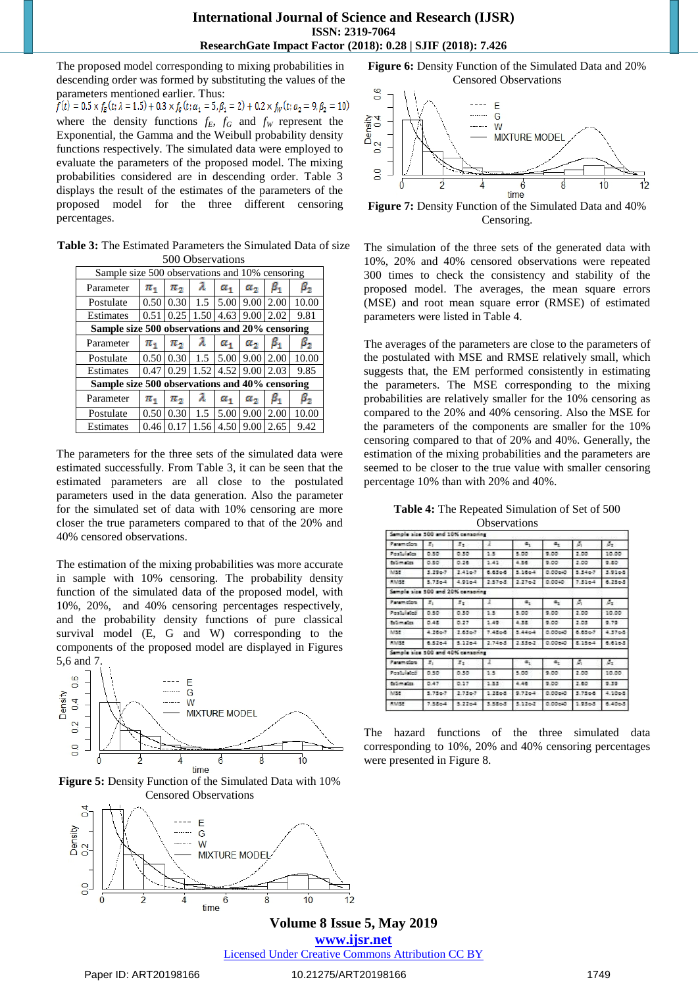The proposed model corresponding to mixing probabilities in descending order was formed by substituting the values of the parameters mentioned earlier. Thus:

 $f(t) = 0.5 \times f_E(t; \lambda = 1.5) + 0.3 \times f_G(t; \alpha_1 = 5, \beta_1 = 2) + 0.2 \times f_W(t; \alpha_2 = 9, \beta_2 = 10)$ where the density functions  $f_E$ ,  $f_G$  and  $f_W$  represent the Exponential, the Gamma and the Weibull probability density functions respectively. The simulated data were employed to evaluate the parameters of the proposed model. The mixing probabilities considered are in descending order. Table 3 displays the result of the estimates of the parameters of the proposed model for the three different censoring percentages.

**Table 3:** The Estimated Parameters the Simulated Data of size 500 Observations

| Sample size 500 observations and 10% censoring |                   |                                                          |               |                                   |              |           |           |  |
|------------------------------------------------|-------------------|----------------------------------------------------------|---------------|-----------------------------------|--------------|-----------|-----------|--|
| Parameter                                      | $\pi_{1}$         | $\pi_{2}$                                                | λ             | $\alpha_{1}$                      | $\alpha_{2}$ | $\beta_1$ | $\beta_2$ |  |
| Postulate                                      | 0.50 <sub>1</sub> | 0.30                                                     | 1.5           | 5.00                              | 9.00         | 2.00      | 10.00     |  |
| Estimates                                      |                   | $0.51 \mid 0.25 \mid 1.50 \mid 4.63 \mid 9.00 \mid 2.02$ |               |                                   |              |           | 9.81      |  |
| Sample size 500 observations and 20% censoring |                   |                                                          |               |                                   |              |           |           |  |
| Parameter                                      | $\pi_{1}$         | $\pi_{2}$                                                | λ             | $\alpha_{1}$                      | $\alpha_{2}$ | $\beta_1$ | $\beta_2$ |  |
| Postulate                                      |                   | $0.50 \,   \, 0.30 \,   \,$                              | 1.5           | $5.00$   9.00   2.00              |              |           | 10.00     |  |
| Estimates                                      |                   | $0.47 \mid 0.29 \mid$                                    |               | $1.52$   $4.52$   $9.00$   $2.03$ |              |           | 9.85      |  |
| Sample size 500 observations and 40% censoring |                   |                                                          |               |                                   |              |           |           |  |
| Parameter                                      | $\pi_{1}$         | $\pi_2$                                                  | λ             | $\alpha_{1}$                      | $\alpha_{2}$ | $\beta_1$ | $\beta_2$ |  |
| Postulate                                      | 0.50              | 0.30                                                     | $1.5^{\circ}$ | 5.00                              | 9.00         | 2.00      | 10.00     |  |
| Estimates                                      | 0.46              | 0.17                                                     | 1.56          | 4.50 9.00                         |              | 2.65      | 9.42      |  |

The parameters for the three sets of the simulated data were estimated successfully. From Table 3, it can be seen that the estimated parameters are all close to the postulated parameters used in the data generation. Also the parameter for the simulated set of data with 10% censoring are more closer the true parameters compared to that of the 20% and 40% censored observations.

The estimation of the mixing probabilities was more accurate in sample with 10% censoring. The probability density function of the simulated data of the proposed model, with 10%, 20%, and 40% censoring percentages respectively, and the probability density functions of pure classical survival model (E, G and W) corresponding to the components of the proposed model are displayed in Figures 5,6 and 7.



**Figure 5:** Density Function of the Simulated Data with 10% Censored Observations



**Figure 6:** Density Function of the Simulated Data and 20% Censored Observations



**Figure 7:** Density Function of the Simulated Data and 40% Censoring.

The simulation of the three sets of the generated data with 10%, 20% and 40% censored observations were repeated 300 times to check the consistency and stability of the proposed model. The averages, the mean square errors (MSE) and root mean square error (RMSE) of estimated parameters were listed in Table 4.

The averages of the parameters are close to the parameters of the postulated with MSE and RMSE relatively small, which suggests that, the EM performed consistently in estimating the parameters. The MSE corresponding to the mixing probabilities are relatively smaller for the 10% censoring as compared to the 20% and 40% censoring. Also the MSE for the parameters of the components are smaller for the 10% censoring compared to that of 20% and 40%. Generally, the estimation of the mixing probabilities and the parameters are seemed to be closer to the true value with smaller censoring percentage 10% than with 20% and 40%.

**Table 4:** The Repeated Simulation of Set of 500 **Observations** 

| Semple size 500 and 10% censoning |                   |                     |            |                   |         |                   |                   |
|-----------------------------------|-------------------|---------------------|------------|-------------------|---------|-------------------|-------------------|
| Paramolon                         | z.                | $x_2$               | s.         | $a_{1}$           | α.      | Ø,                | s.                |
| Postulates                        | 0.50              | 0.30                | 1.5        | 5.00              | 9.00    | 2.00              | 10.00             |
| <b>Externation</b>                | 0.50              | 0.26                | 1.41       | 4.56.             | 9.00    | 2.00              | 9.80              |
| 14155                             | $5.290$ .         | 2.41 <sub>0</sub>   | 6.6366     | $3.16c-4$         | 0.00640 | 5.34 <sub>0</sub> | 3.9168            |
| <b>RAISE</b>                      | $3.75 - 4$        | 4.9164              | 2:376.5    | 2.27 <sub>0</sub> | 0.0040  | $7.31c-4$         | $6.25 - 3$        |
| Semple size 500 and 20% censoring |                   |                     |            |                   |         |                   |                   |
| Paramidors                        | $\mathcal{X}_1$   | $\pi_{\mathcal{X}}$ | ž.         | $\sigma_{\rm r}$  | ÷.      | Ø,                | s.                |
| Pentulated                        | 0.50              | 0.30                | 1.5        | 5.00              | 5.00    | 2.00              | 10.00             |
| Externation.                      | 0.48              | 0.27                | 1.49       | 4.38              | 9.00    | 2.03              | 2.72              |
| MSE                               | 4.26 <sub>2</sub> | $2.63 - 7$          | 7.4566     | 5.4464            | 0.00640 | 6.636-7           | 4.37 <sub>0</sub> |
| <b>KAISE</b>                      | $6.52c-4$         | $3.12 - 4$          | $2.74 - 5$ | $2.55 - 2$        | 0.00640 | $8.15 - 4$        | 6.6163            |
| Semple size 500 and 40% censoring |                   |                     |            |                   |         |                   |                   |
| <b>Zaramcion</b>                  | $\mathcal{I}_2$   | $x_{\pm}$           | A.         | $\alpha_{1}$      | $a_x$   | ø.                | $\sigma_x$        |
| Postulated                        | 0.50              | 0.30                | 1.5        | 5.00              | 9.00    | 2.00              | 10.00             |
| fall maters.                      | 0.47              | 0.27                | 1.55       | 4.48              | 9.00    | 2.60              | 9.39              |
| MSE                               | $3.75 - 7$        | 2.73 <sub>0</sub>   | $1.28 - 5$ | $9.72 - 4$        | D.00640 | $3.75 - 6$        | 4.1068            |
| <b>RAISE</b>                      | $7.55c-4$         | 3.2264              | 3.586.3    | 5.126-2           | 0.00cHO | $1.25 - 3$        | 0.4003            |

The hazard functions of the three simulated data corresponding to 10%, 20% and 40% censoring percentages were presented in Figure 8.

**Volume 8 Issue 5, May 2019 www.ijsr.net** Licensed Under Creative Commons Attribution CC BY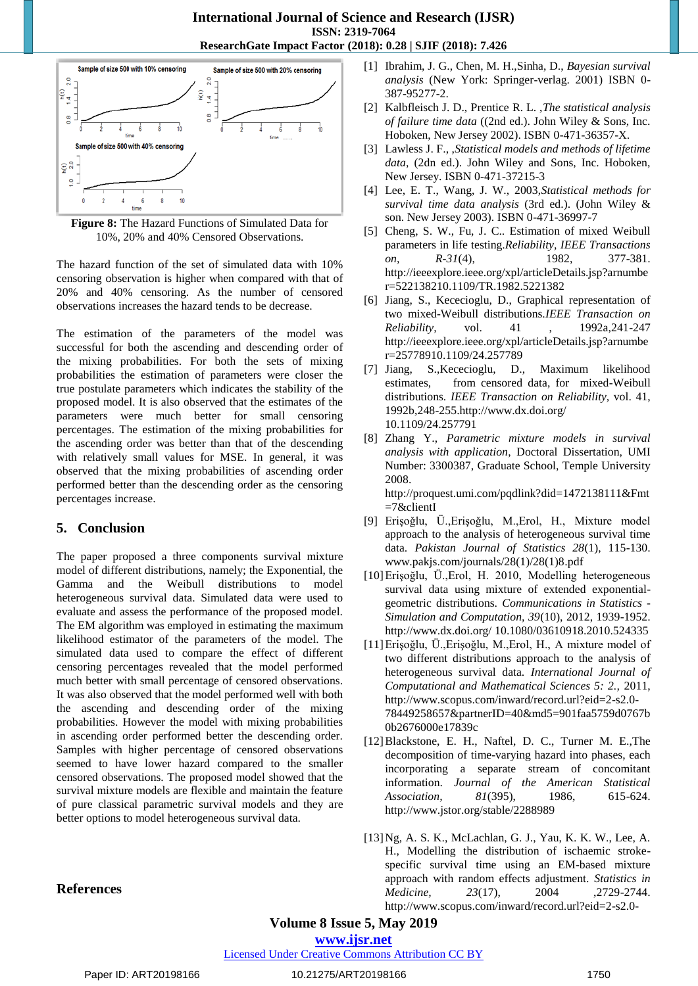

**Figure 8:** The Hazard Functions of Simulated Data for 10%, 20% and 40% Censored Observations.

The hazard function of the set of simulated data with 10% censoring observation is higher when compared with that of 20% and 40% censoring. As the number of censored observations increases the hazard tends to be decrease.

The estimation of the parameters of the model was successful for both the ascending and descending order of the mixing probabilities. For both the sets of mixing probabilities the estimation of parameters were closer the true postulate parameters which indicates the stability of the proposed model. It is also observed that the estimates of the parameters were much better for small censoring percentages. The estimation of the mixing probabilities for the ascending order was better than that of the descending with relatively small values for MSE. In general, it was observed that the mixing probabilities of ascending order performed better than the descending order as the censoring percentages increase.

# **5. Conclusion**

The paper proposed a three components survival mixture model of different distributions, namely; the Exponential, the Gamma and the Weibull distributions to model heterogeneous survival data. Simulated data were used to evaluate and assess the performance of the proposed model. The EM algorithm was employed in estimating the maximum likelihood estimator of the parameters of the model. The simulated data used to compare the effect of different censoring percentages revealed that the model performed much better with small percentage of censored observations. It was also observed that the model performed well with both the ascending and descending order of the mixing probabilities. However the model with mixing probabilities in ascending order performed better the descending order. Samples with higher percentage of censored observations seemed to have lower hazard compared to the smaller censored observations. The proposed model showed that the survival mixture models are flexible and maintain the feature of pure classical parametric survival models and they are better options to model heterogeneous survival data.

- [1] Ibrahim, J. G., Chen, M. H.,Sinha, D., *Bayesian survival analysis* (New York: Springer-verlag. 2001) ISBN 0- 387-95277-2.
- [2] Kalbfleisch J. D., Prentice R. L. ,*The statistical analysis of failure time data* ((2nd ed.). John Wiley & Sons, Inc. Hoboken, New Jersey 2002). ISBN 0-471-36357-X.
- [3] Lawless J. F., ,*Statistical models and methods of lifetime data*, (2dn ed.). John Wiley and Sons, Inc. Hoboken, New Jersey. ISBN 0-471-37215-3
- [4] Lee, E. T., Wang, J. W., 2003,*Statistical methods for survival time data analysis* (3rd ed.). (John Wiley & son. New Jersey 2003). ISBN 0-471-36997-7
- [5] Cheng, S. W., Fu, J. C.. Estimation of mixed Weibull parameters in life testing.*Reliability, IEEE Transactions on, R-31*(4), 1982, 377-381. [http://ieeexplore.ieee.org/xpl/articleDetails.jsp?arnumbe](http://ieeexplore.ieee.org/xpl/articleDetails.jsp?arnumber=5221382) [r=522138210.1109/TR.1982.5221382](http://ieeexplore.ieee.org/xpl/articleDetails.jsp?arnumber=5221382)
- [6] Jiang, S., Kececioglu, D., Graphical representation of two mixed-Weibull distributions.*IEEE Transaction on Reliability*, vol. 41 , 1992a, 241-247 [http://ieeexplore.ieee.org/xpl/articleDetails.jsp?arnumbe](http://ieeexplore.ieee.org/xpl/articleDetails.jsp?arnumber=257789) [r=25778910.1109/24.257789](http://ieeexplore.ieee.org/xpl/articleDetails.jsp?arnumber=257789)
- [7] Jiang, S.,Kececioglu, D., Maximum likelihood estimates, from censored data, for mixed-Weibull distributions. *IEEE Transaction on Reliability,* vol. 41, 1992b,248-255.http://www.dx.doi.org/ 10.1109/24.257791
- [8] Zhang Y., *Parametric mixture models in survival analysis with application*, Doctoral Dissertation, UMI Number: 3300387, Graduate School, Temple University 2008.

[http://proquest.umi.com/pqdlink?did=1472138111&Fmt](http://proquest.umi.com/pqdlink?did=1472138111&Fmt=7&clientI) [=7&clientI](http://proquest.umi.com/pqdlink?did=1472138111&Fmt=7&clientI)

- [9] Erişoǧlu, Ü.,Erişoǧlu, M.,Erol, H., Mixture model approach to the analysis of heterogeneous survival time data. *Pakistan Journal of Statistics 28*(1), 115-130. [www.pakjs.com/journals/28\(1\)/28\(1\)8.pdf](http://www.pakjs.com/journals/28(1)/28(1)8.pdf)
- [10]Erişoğlu, Ü.,Erol, H. 2010, Modelling heterogeneous survival data using mixture of extended exponentialgeometric distributions. *Communications in Statistics - Simulation and Computation, 39*(10), 2012, 1939-1952. http://www.dx.doi.org/ 10.1080/03610918.2010.524335
- [11]Erişoǧlu, Ü.,Erişoǧlu, M.,Erol, H., A mixture model of two different distributions approach to the analysis of heterogeneous survival data. *International Journal of Computational and Mathematical Sciences 5: 2.,* 2011, [http://www.scopus.com/inward/record.url?eid=2-s2.0-](http://www.scopus.com/inward/record.url?eid=2-s2.0-78449258657&partnerID=40&md5=901faa5759d0767b0b2676000e17839c) [78449258657&partnerID=40&md5=901faa5759d0767b](http://www.scopus.com/inward/record.url?eid=2-s2.0-78449258657&partnerID=40&md5=901faa5759d0767b0b2676000e17839c) [0b2676000e17839c](http://www.scopus.com/inward/record.url?eid=2-s2.0-78449258657&partnerID=40&md5=901faa5759d0767b0b2676000e17839c)
- [12]Blackstone, E. H., Naftel, D. C., Turner M. E.,The decomposition of time-varying hazard into phases, each incorporating a separate stream of concomitant information. *Journal of the American Statistical Association, 81*(395), 1986, 615-624. <http://www.jstor.org/stable/2288989>
- [13]Ng, A. S. K., McLachlan, G. J., Yau, K. K. W., Lee, A. H., Modelling the distribution of ischaemic strokespecific survival time using an EM-based mixture approach with random effects adjustment. *Statistics in Medicine,* 23(17), 2004 ,2729-2744. [http://www.scopus.com/inward/record.url?eid=2-s2.0-](http://www.scopus.com/inward/record.url?eid=2-s2.0-4444257472&partnerID=40&md5=139f3273239b2d5525b68c728faf99e3)

# **References**

**Volume 8 Issue 5, May 2019**

**www.ijsr.net**

Licensed Under Creative Commons Attribution CC BY